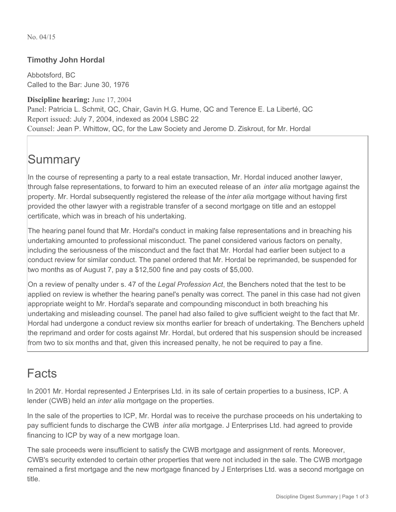No. 04/15

#### **Timothy John Hordal**

Abbotsford, BC Called to the Bar: June 30, 1976

**Discipline hearing:** June 17, 2004 Panel: Patricia L. Schmit, QC, Chair, Gavin H.G. Hume, QC and Terence E. La Liberté, QC Report issued: July 7, 2004, indexed as 2004 LSBC 22 Counsel: Jean P. Whittow, QC, for the Law Society and Jerome D. Ziskrout, for Mr. Hordal

# **Summary**

In the course of representing a party to a real estate transaction, Mr. Hordal induced another lawyer, through false representations, to forward to him an executed release of an *inter alia* mortgage against the property. Mr. Hordal subsequently registered the release of the *inter alia* mortgage without having first provided the other lawyer with a registrable transfer of a second mortgage on title and an estoppel certificate, which was in breach of his undertaking.

The hearing panel found that Mr. Hordal's conduct in making false representations and in breaching his undertaking amounted to professional misconduct. The panel considered various factors on penalty, including the seriousness of the misconduct and the fact that Mr. Hordal had earlier been subject to a conduct review for similar conduct. The panel ordered that Mr. Hordal be reprimanded, be suspended for two months as of August 7, pay a \$12,500 fine and pay costs of \$5,000.

On a review of penalty under s. 47 of the *Legal Profession Act*, the Benchers noted that the test to be applied on review is whether the hearing panel's penalty was correct. The panel in this case had not given appropriate weight to Mr. Hordal's separate and compounding misconduct in both breaching his undertaking and misleading counsel. The panel had also failed to give sufficient weight to the fact that Mr. Hordal had undergone a conduct review six months earlier for breach of undertaking. The Benchers upheld the reprimand and order for costs against Mr. Hordal, but ordered that his suspension should be increased from two to six months and that, given this increased penalty, he not be required to pay a fine.

### Facts

In 2001 Mr. Hordal represented J Enterprises Ltd. in its sale of certain properties to a business, ICP. A lender (CWB) held an *inter alia* mortgage on the properties.

In the sale of the properties to ICP, Mr. Hordal was to receive the purchase proceeds on his undertaking to pay sufficient funds to discharge the CWB *inter alia* mortgage. J Enterprises Ltd. had agreed to provide financing to ICP by way of a new mortgage loan.

The sale proceeds were insufficient to satisfy the CWB mortgage and assignment of rents. Moreover, CWB's security extended to certain other properties that were not included in the sale. The CWB mortgage remained a first mortgage and the new mortgage financed by J Enterprises Ltd. was a second mortgage on title.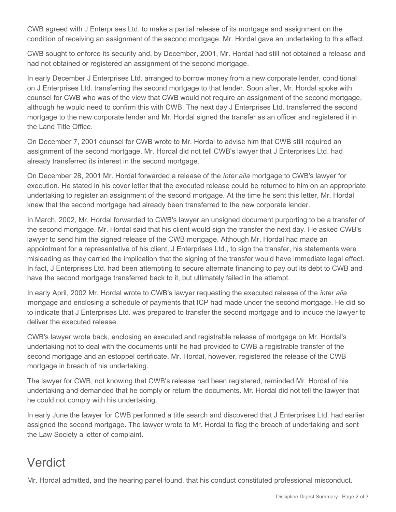CWB agreed with J Enterprises Ltd. to make a partial release of its mortgage and assignment on the condition of receiving an assignment of the second mortgage. Mr. Hordal gave an undertaking to this effect.

CWB sought to enforce its security and, by December, 2001, Mr. Hordal had still not obtained a release and had not obtained or registered an assignment of the second mortgage.

In early December J Enterprises Ltd. arranged to borrow money from a new corporate lender, conditional on J Enterprises Ltd. transferring the second mortgage to that lender. Soon after, Mr. Hordal spoke with counsel for CWB who was of the view that CWB would not require an assignment of the second mortgage, although he would need to confirm this with CWB. The next day J Enterprises Ltd. transferred the second mortgage to the new corporate lender and Mr. Hordal signed the transfer as an officer and registered it in the Land Title Office.

On December 7, 2001 counsel for CWB wrote to Mr. Hordal to advise him that CWB still required an assignment of the second mortgage. Mr. Hordal did not tell CWB's lawyer that J Enterprises Ltd. had already transferred its interest in the second mortgage.

On December 28, 2001 Mr. Hordal forwarded a release of the *inter alia* mortgage to CWB's lawyer for execution. He stated in his cover letter that the executed release could be returned to him on an appropriate undertaking to register an assignment of the second mortgage. At the time he sent this letter, Mr. Hordal knew that the second mortgage had already been transferred to the new corporate lender.

In March, 2002, Mr. Hordal forwarded to CWB's lawyer an unsigned document purporting to be a transfer of the second mortgage. Mr. Hordal said that his client would sign the transfer the next day. He asked CWB's lawyer to send him the signed release of the CWB mortgage. Although Mr. Hordal had made an appointment for a representative of his client, J Enterprises Ltd., to sign the transfer, his statements were misleading as they carried the implication that the signing of the transfer would have immediate legal effect. In fact, J Enterprises Ltd. had been attempting to secure alternate financing to pay out its debt to CWB and have the second mortgage transferred back to it, but ultimately failed in the attempt.

In early April, 2002 Mr. Hordal wrote to CWB's lawyer requesting the executed release of the *inter alia* mortgage and enclosing a schedule of payments that ICP had made under the second mortgage. He did so to indicate that J Enterprises Ltd. was prepared to transfer the second mortgage and to induce the lawyer to deliver the executed release.

CWB's lawyer wrote back, enclosing an executed and registrable release of mortgage on Mr. Hordal's undertaking not to deal with the documents until he had provided to CWB a registrable transfer of the second mortgage and an estoppel certificate. Mr. Hordal, however, registered the release of the CWB mortgage in breach of his undertaking.

The lawyer for CWB, not knowing that CWB's release had been registered, reminded Mr. Hordal of his undertaking and demanded that he comply or return the documents. Mr. Hordal did not tell the lawyer that he could not comply with his undertaking.

In early June the lawyer for CWB performed a title search and discovered that J Enterprises Ltd. had earlier assigned the second mortgage. The lawyer wrote to Mr. Hordal to flag the breach of undertaking and sent the Law Society a letter of complaint.

### Verdict

Mr. Hordal admitted, and the hearing panel found, that his conduct constituted professional misconduct.